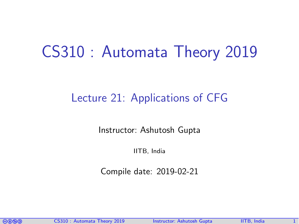# CS310 : Automata Theory 2019

## Lecture 21: Applications of CFG

Instructor: [Ashutosh Gupta](http://www.cse.iitb.ac.in/~akg/)

IITB, India

Compile date: 2019-02-21

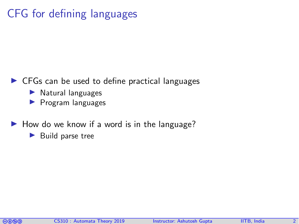# CFG for defining languages

#### $\triangleright$  CFGs can be used to define practical languages

- $\blacktriangleright$  Natural languages
- $\blacktriangleright$  Program languages
- $\blacktriangleright$  How do we know if a word is in the language?
	- $\blacktriangleright$  Build parse tree

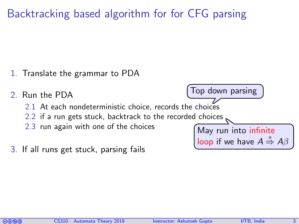Backtracking based algorithm for for CFG parsing

1. Translate the grammar to PDA



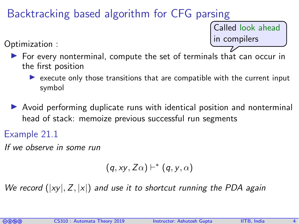### Backtracking based algorithm for CFG parsing

Called look ahead in compilers

Optimization :

- $\triangleright$  For every nonterminal, compute the set of terminals that can occur in the first position
	- $\triangleright$  execute only those transitions that are compatible with the current input symbol
- $\triangleright$  Avoid performing duplicate runs with identical position and nonterminal head of stack: memoize previous successful run segments

Example 21.1

If we observe in some run

$$
(q,xy,Z\alpha) \vdash^{*} (q,y,\alpha)
$$

We record  $(|xy|, Z, |x|)$  and use it to shortcut running the PDA again

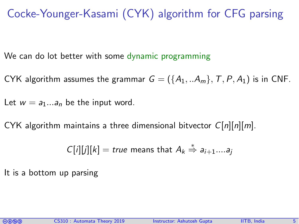Cocke-Younger-Kasami (CYK) algorithm for CFG parsing

We can do lot better with some dynamic programming

CYK algorithm assumes the grammar  $G = (\{A_1, ... A_m\}, T, P, A_1)$  is in CNF.

Let  $w = a_1...a_n$  be the input word.

CYK algorithm maintains a three dimensional bitvector  $C[n][n][m]$ .

$$
C[i][j][k]
$$
 = true means that  $A_k \stackrel{*}{\Rightarrow} a_{i+1} \dots a_j$ 

It is a bottom up parsing

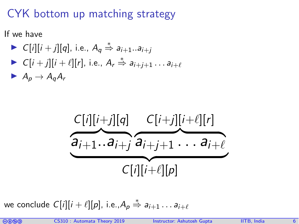# CYK bottom up matching strategy

If we have

- $\triangleright$   $C[i][i+j][q]$ , i.e.,  $A_q \stackrel{*}{\Rightarrow} a_{i+1}...a_{i+j}$
- $\triangleright C[i+j][i+\ell][r]$ , i.e.,  $A_r \stackrel{*}{\Rightarrow} a_{i+j+1} \dots a_{i+\ell}$

 $A_p \rightarrow A_q A_r$ 



we conclude  $C[i][i + \ell][p]$ , i.e., $A_p \stackrel{*}{\Rightarrow} a_{i+1} \ldots a_{i+\ell}$ 

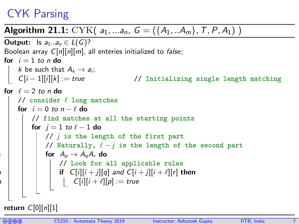# CYK Parsing

#### **Algorithm 21.1:** CYK(  $a_1, \ldots, a_n$ ,  $G = (\{A_1, \ldots, A_m\}, T, P, A_1)$  )

```
Output: Is a_1...a_n \in L(G)?
 Boolean array C[n][n][m], all enteries initialized to false;
 for i = 1 to n do
      k be such that A_k \rightarrow a_i;<br>
C[i-1][i][k] := true// Initializing single length matching
 for \ell = 2 to n do
      // consider \ell long matches
      for i = 0 to n - \ell do
           // find matches at all the starting points
           for j = 1 to \ell - 1 do
               // j is the length of the first part
              // Naturally, \ell - j is the length of the second part
              for A_{p} \rightarrow A_{q}A_{r} do
                     // Look for all applicable rules
9 \mid \cdot \mid \cdot \mid \cdot \text{ if } C[i][i+j][q] \text{ and } C[i+j][i+\ell][r] \text{ then }|C[i][i + \ell][p] := true
```
return  $C[0][n][1]$ 

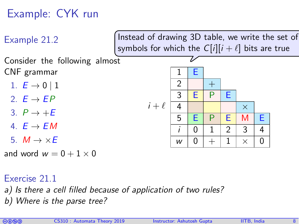# Example: CYK run



Exercise 21.1

- a) Is there a cell filled because of application of two rules?
- b) Where is the parse tree?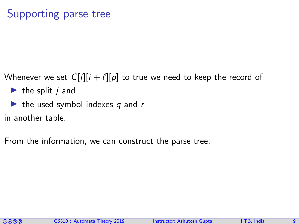### Supporting parse tree

- Whenever we set  $C[i][i + \ell][p]$  to true we need to keep the record of
	- $\blacktriangleright$  the split *j* and
	- $\blacktriangleright$  the used symbol indexes q and r
- in another table.
- From the information, we can construct the parse tree.

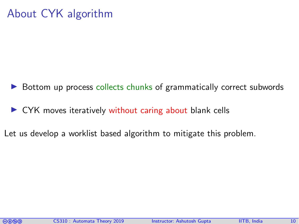## About CYK algorithm

- Bottom up process collects chunks of grammatically correct subwords
- $\triangleright$  CYK moves iteratively without caring about blank cells
- Let us develop a worklist based algorithm to mitigate this problem.

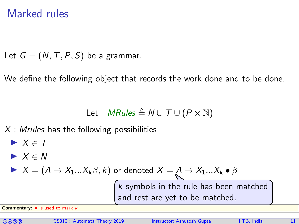#### Marked rules

Let  $G = (N, T, P, S)$  be a grammar.

We define the following object that records the work done and to be done.

Let *MRules* 
$$
\triangleq
$$
 *N*  $\cup$  *T*  $\cup$  (*P*  $\times$   $\mathbb{N}$ )

 $X$ : Mrules has the following possibilities

\n- $$
X \in T
$$
\n- $X \in N$
\n- $X = (A \rightarrow X_1 \dots X_k \beta, k)$  or denoted  $X = A \rightarrow X_1 \dots X_k \bullet \beta$
\n- $K$  symbols in the rule has been matched.
\n
\nCommentary:  $\bullet$  is used to mark  $k$ 

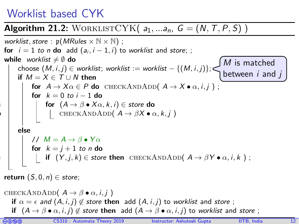### Worklist based CYK

# Algorithm 21.2: WORKLISTCYK( $a_1, \ldots, a_n$ ,  $G = (N, T, P, S)$ )

\n*worklist, store*: 
$$
p(MRules \times N \times N)
$$
;\n

\n\nfor  $i = 1$  to *n* do add  $(a_i, i - 1, i)$  to worklist and store;\n

\n\n**while** worklist  $\neq \emptyset$  do\n

\n\n choose  $(M, i, j) \in$  worklist; worklist := worklist  $- \{(M, i, j)\}$ ;\n

\n\n If  $M = X \in T \cup N$  then\n

\n\n for  $A \rightarrow X\alpha \in P$  do  $CHECKANDADD(A \rightarrow X \cdot \alpha, i, j)$ ;\n

\n\n for  $k = 0$  to  $i - 1$  do\n

\n\n for  $(A \rightarrow \beta \cdot X\alpha, k, i) \in$  store do\n

\n\n if  $(A \rightarrow \beta \cdot X\alpha, k, i) \in$  store do\n

\n\n if  $(A \rightarrow \beta \cdot X\alpha, k, i) \in$  store do\n

\n\n if  $(Y, j, k) \in$  store then  $CHECKANDADD(A \rightarrow \beta Y \cdot \alpha, i, k)$ ;\n

\n\n return  $(S, 0, n) \in$  store;\n

CHECKANDADD $(A \rightarrow \beta \bullet \alpha, i, j)$ if  $\alpha = \epsilon$  and  $(A, i, j) \notin$  store then add  $(A, i, j)$  to worklist and store; if  $(A \to \beta \bullet \alpha, i, j) \notin$  store then add  $(A \to \beta \bullet \alpha, i, j)$  to worklist and store;

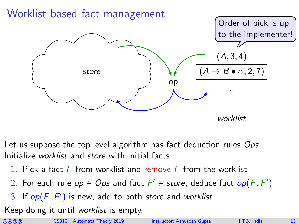

Let us suppose the top level algorithm has fact deduction rules Ops Initialize worklist and store with initial facts

- 1. Pick a fact  $F$  from worklist and remove  $F$  from the worklist
- 2. For each rule  $op \in Ops$  and fact  $F' \in store$ , deduce fact  $op(F, F')$
- 3. If  $op(F, F')$  is new, add to both store and worklist

Keep doing it until worklist is empty.

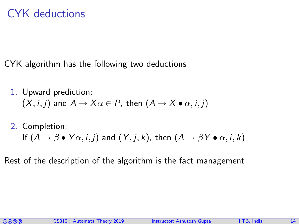## CYK deductions

CYK algorithm has the following two deductions

1. Upward prediction:  $(X, i, j)$  and  $A \rightarrow X\alpha \in P$ , then  $(A \rightarrow X \bullet \alpha, i, j)$ 

#### 2. Completion: If  $(A \rightarrow \beta \bullet Y\alpha, i, j)$  and  $(Y, i, k)$ , then  $(A \rightarrow \beta Y \bullet \alpha, i, k)$

Rest of the description of the algorithm is the fact management

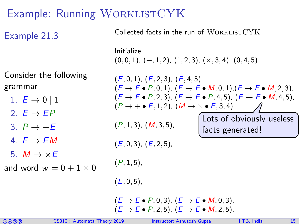# Example: Running WORKLISTCYK

| Example 21.3                                                                                                                                                                                             | Conected racts in the run of WORKLISTO ITS                                                                                                                                                                                                                                                                                                                                                                                                                                         |
|----------------------------------------------------------------------------------------------------------------------------------------------------------------------------------------------------------|------------------------------------------------------------------------------------------------------------------------------------------------------------------------------------------------------------------------------------------------------------------------------------------------------------------------------------------------------------------------------------------------------------------------------------------------------------------------------------|
|                                                                                                                                                                                                          | Initialize<br>$(0,0,1), (+,1,2), (1,2,3), (×,3,4), (0,4,5)$                                                                                                                                                                                                                                                                                                                                                                                                                        |
| Consider the following<br>grammar<br>1. $E \rightarrow 0$   1<br>2. $F \rightarrow FP$<br>3. $P \rightarrow +E$<br>4. $F \rightarrow FM$<br>5. $M \rightarrow \times E$<br>and word $w = 0 + 1 \times 0$ | (E, 0, 1), (E, 2, 3), (E, 4, 5)<br>$(E \rightarrow E \bullet P, 0, 1), (E \rightarrow E \bullet M, 0, 1), (E \rightarrow E \bullet M, 2, 3),$<br>$(E \rightarrow E \bullet P, 2, 3), (E \rightarrow E \bullet P, 4, 5), (E \rightarrow E \bullet M, 4, 5),$<br>$(P \rightarrow + \bullet E, 1, 2)$ , $(M \rightarrow \times \bullet E, 3, 4)$<br>Lots of obviously useless<br>(P, 1, 3), (M, 3, 5),<br>facts generated!<br>(E, 0, 3), (E, 2, 5),<br>$(P, 1, 5)$ ,<br>$(E, 0, 5)$ , |
|                                                                                                                                                                                                          | $(E \rightarrow E \bullet P, 0, 3)$ , $(E \rightarrow E \bullet M, 0, 3)$ ,<br>$(E \rightarrow E \bullet P, 2, 5), (E \rightarrow E \bullet M, 2, 5),$                                                                                                                                                                                                                                                                                                                             |

Collected facts in the run of WORKLISTCYK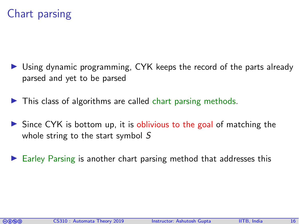### Chart parsing

- Using dynamic programming, CYK keeps the record of the parts already parsed and yet to be parsed
- $\blacktriangleright$  This class of algorithms are called chart parsing methods.
- $\triangleright$  Since CYK is bottom up, it is oblivious to the goal of matching the whole string to the start symbol S
- Earley Parsing is another chart parsing method that addresses this

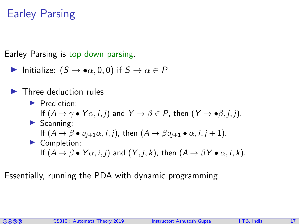# Earley Parsing

Earley Parsing is top down parsing.

Initialize:  $(S \to \bullet \alpha, 0, 0)$  if  $S \to \alpha \in P$ 

#### I Three deduction rules

Prediction: If  $(A \to \gamma \bullet Y\alpha, i, j)$  and  $Y \to \beta \in P$ , then  $(Y \to \bullet \beta, i, j)$ .  $\blacktriangleright$  Scanning: If  $(A \rightarrow \beta \bullet a_{i+1}\alpha, i, j)$ , then  $(A \rightarrow \beta a_{i+1} \bullet \alpha, i, j+1)$ .  $\blacktriangleright$  Completion: If  $(A \rightarrow \beta \bullet Y\alpha, i, j)$  and  $(Y, j, k)$ , then  $(A \rightarrow \beta Y \bullet \alpha, i, k)$ .

Essentially, running the PDA with dynamic programming.

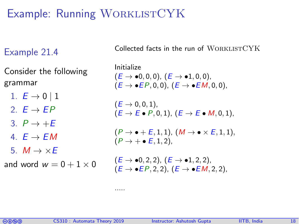# Example: Running WORKLISTCYK

#### Example 21.4

Consider the following grammar

1.  $E \to 0$  | 1

2.  $E \rightarrow EP$ 

3.  $P \rightarrow +E$ 

4.  $E \rightarrow EM$ 

5.  $M \rightarrow \times E$ 

and word  $w = 0 + 1 \times 0$ 

Collected facts in the run of WORKLISTCYK

Initialize  $(E \to \bullet 0, 0, 0)$ ,  $(E \to \bullet 1, 0, 0)$ ,  $(E \rightarrow \bullet EP, 0, 0)$ ,  $(E \rightarrow \bullet EM, 0, 0)$ ,  $(E \to 0, 0, 1)$ ,  $(E \rightarrow E \bullet P, 0, 1), (E \rightarrow E \bullet M, 0, 1).$  $(P \rightarrow \bullet +E, 1, 1), (M \rightarrow \bullet \times E, 1, 1),$  $(P \rightarrow + \bullet E, 1, 2)$ .  $(E \to \bullet 0, 2, 2), (E \to \bullet 1, 2, 2),$  $(E \rightarrow \bullet EP, 2, 2)$ ,  $(E \rightarrow \bullet EM, 2, 2)$ ,



.....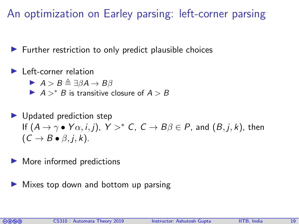An optimization on Earley parsing: left-corner parsing

 $\blacktriangleright$  Further restriction to only predict plausible choices

Left-corner relation

 $A > B \triangleq \exists \beta A \rightarrow B\beta$ 

 $A > * B$  is transitive closure of  $A > B$ 

 $\blacktriangleright$  Updated prediction step If  $(A \to \gamma \bullet Y\alpha, i, j)$ ,  $Y >^* C$ ,  $C \to B\beta \in P$ , and  $(B, j, k)$ , then  $(C \rightarrow B \bullet \beta, i, k).$ 

More informed predictions

Mixes top down and bottom up parsing